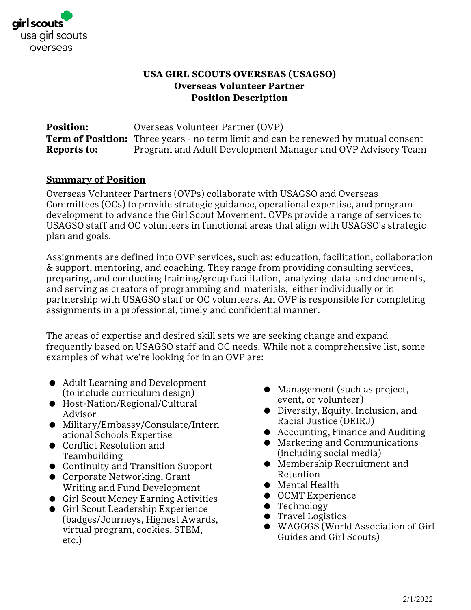

#### **USA GIRL SCOUTS OVERSEAS (USAGSO) Overseas Volunteer Partner Position Description**

**Position:** Overseas Volunteer Partner (OVP) **Term of Position:** Three years - no term limit and can be renewed by mutual consent **Reports to:** Program and Adult Development Manager and OVP Advisory Team

#### **Summary of Position**

Overseas Volunteer Partners (OVPs) collaborate with USAGSO and Overseas Committees (OCs) to provide strategic guidance, operational expertise, and program development to advance the Girl Scout Movement. OVPs provide a range of services to USAGSO staff and OC volunteers in functional areas that align with USAGSO's strategic plan and goals.

Assignments are defined into OVP services, such as: education, facilitation, collaboration & support, mentoring, and coaching. They range from providing consulting services, preparing, and conducting training/group facilitation, analyzing data and documents, and serving as creators of programming and materials, either individually or in partnership with USAGSO staff or OC volunteers. An OVP is responsible for completing assignments in a professional, timely and confidential manner.

The areas of expertise and desired skill sets we are seeking change and expand frequently based on USAGSO staff and OC needs. While not a comprehensive list, some examples of what we're looking for in an OVP are:

- Adult Learning and Development (to include curriculum design)
- Host-Nation/Regional/Cultural Advisor
- Military/Embassy/Consulate/Intern ational Schools Expertise
- Conflict Resolution and Teambuilding
- Continuity and Transition Support
- Corporate Networking, Grant Writing and Fund Development
- Girl Scout Money Earning Activities
- Girl Scout Leadership Experience (badges/Journeys, Highest Awards, virtual program, cookies, STEM, etc.)
- Management (such as project, event, or volunteer)
- Diversity, Equity, Inclusion, and Racial Justice (DEIRJ)
- Accounting, Finance and Auditing
- Marketing and Communications (including social media)
- Membership Recruitment and Retention
- Mental Health
- OCMT Experience
- Technology
- Travel Logistics
- WAGGGS (World Association of Girl Guides and Girl Scouts)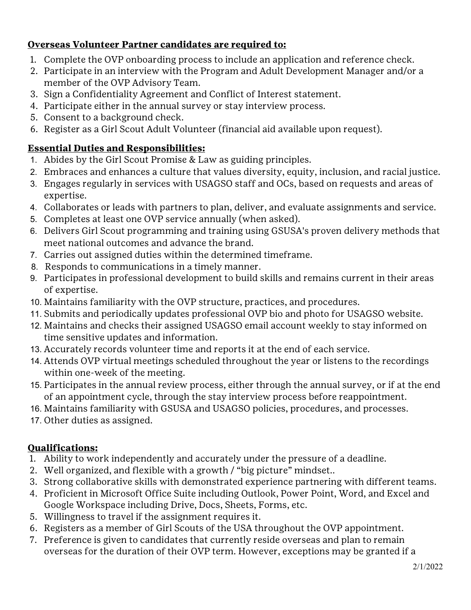## **Overseas Volunteer Partner candidates are required to:**

- 1. Complete the OVP onboarding process to include an application and reference check.
- 2. Participate in an interview with the Program and Adult Development Manager and/or a member of the OVP Advisory Team.
- 3. Sign a Confidentiality Agreement and Conflict of Interest statement.
- 4. Participate either in the annual survey or stay interview process.
- 5. Consent to a background check.
- 6. Register as a Girl Scout Adult Volunteer (financial aid available upon request).

# **Essential Duties and Responsibilities:**

- 1. Abides by the Girl Scout Promise & Law as guiding principles.
- 2. Embraces and enhances a culture that values diversity, equity, inclusion, and racial justice.
- 3. Engages regularly in services with USAGSO staff and OCs, based on requests and areas of expertise.
- 4. Collaborates or leads with partners to plan, deliver, and evaluate assignments and service.
- 5. Completes at least one OVP service annually (when asked).
- 6. Delivers Girl Scout programming and training using GSUSA's proven delivery methods that meet national outcomes and advance the brand.
- 7. Carries out assigned duties within the determined timeframe.
- 8. Responds to communications in a timely manner.
- 9. Participates in professional development to build skills and remains current in their areas of expertise.
- 10. Maintains familiarity with the OVP structure, practices, and procedures.
- 11. Submits and periodically updates professional OVP bio and photo for USAGSO website.
- 12. Maintains and checks their assigned USAGSO email account weekly to stay informed on time sensitive updates and information.
- 13. Accurately records volunteer time and reports it at the end of each service.
- 14. Attends OVP virtual meetings scheduled throughout the year or listens to the recordings within one-week of the meeting.
- 15. Participates in the annual review process, either through the annual survey, or if at the end of an appointment cycle, through the stay interview process before reappointment.
- 16. Maintains familiarity with GSUSA and USAGSO policies, procedures, and processes.
- 17. Other duties as assigned.

## **Qualifications:**

- 1. Ability to work independently and accurately under the pressure of a deadline.
- 2. Well organized, and flexible with a growth / "big picture" mindset..
- 3. Strong collaborative skills with demonstrated experience partnering with different teams.
- 4. Proficient in Microsoft Office Suite including Outlook, Power Point, Word, and Excel and Google Workspace including Drive, Docs, Sheets, Forms, etc.
- 5. Willingness to travel if the assignment requires it.
- 6. Registers as a member of Girl Scouts of the USA throughout the OVP appointment.
- 7. Preference is given to candidates that currently reside overseas and plan to remain overseas for the duration of their OVP term. However, exceptions may be granted if a